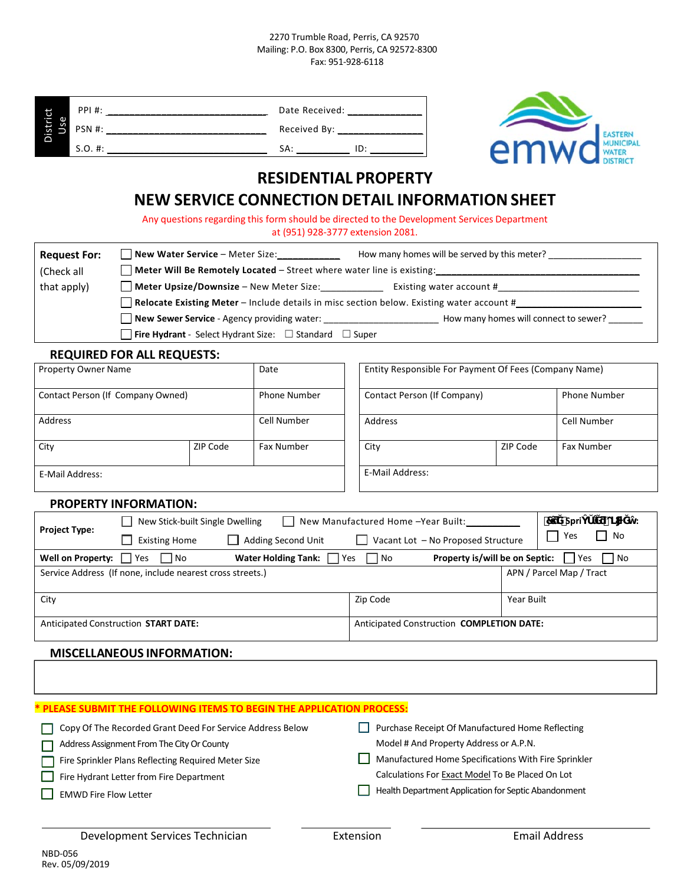#### 2270 Trumble Road, Perris, CA 92570 Mailing: P.O. Box 8300, Perris, CA 92572‐8300 Fax: 951‐928‐6118

|                 | <b>PPI#:</b> | Date Received: |     |
|-----------------|--------------|----------------|-----|
| District<br>Use | PSN #:       | Received By:   |     |
|                 | S.O. #:      | SA:            | ID: |



# **RESIDENTIAL PROPERTY**

# **NEW SERVICE CONNECTION DETAIL INFORMATIONSHEET**

| <b>Request For:</b> | New Water Service - Meter Size:<br>How many homes will be served by this meter?           |
|---------------------|-------------------------------------------------------------------------------------------|
| (Check all          | <b>Neter Will Be Remotely Located – Street where water line is existing:</b>              |
| that apply)         | Meter Upsize/Downsize - New Meter Size:<br>Existing water account #                       |
|                     | Relocate Existing Meter - Include details in misc section below. Existing water account # |
|                     | New Sewer Service - Agency providing water:<br>How many homes will connect to sewer?      |
|                     | <b>Fire Hydrant</b> - Select Hydrant Size: $\Box$ Standard $\Box$ Super                   |

### **REQUIRED FOR ALL REQUESTS:**

| Property Owner Name               |          | Date                | Entity Responsible For Payment Of Fees (Company Name) |  |                     |
|-----------------------------------|----------|---------------------|-------------------------------------------------------|--|---------------------|
| Contact Person (If Company Owned) |          | <b>Phone Number</b> | Contact Person (If Company)                           |  | <b>Phone Number</b> |
| Address                           |          | Cell Number         | Address                                               |  |                     |
| City                              | ZIP Code | <b>Fax Number</b>   | ZIP Code<br><b>Fax Number</b><br>City                 |  |                     |
| E-Mail Address:                   |          |                     | E-Mail Address:                                       |  |                     |

#### **PROPERTY INFORMATION:**

|                                                                      |                              |                                   |                                 | Date Received: ______________                                                                                                    |                                                       |                 |                                           |          |                |                             |
|----------------------------------------------------------------------|------------------------------|-----------------------------------|---------------------------------|----------------------------------------------------------------------------------------------------------------------------------|-------------------------------------------------------|-----------------|-------------------------------------------|----------|----------------|-----------------------------|
|                                                                      | District<br>Use              |                                   |                                 |                                                                                                                                  |                                                       |                 |                                           |          | <b>EASTERN</b> |                             |
|                                                                      |                              |                                   |                                 |                                                                                                                                  |                                                       |                 | emw                                       |          |                |                             |
|                                                                      |                              |                                   |                                 | <b>RESIDENTIAL PROPERTY</b>                                                                                                      |                                                       |                 |                                           |          |                |                             |
|                                                                      |                              |                                   |                                 | <b>NEW SERVICE CONNECTION DETAIL INFORMATION SHEET</b>                                                                           |                                                       |                 |                                           |          |                |                             |
|                                                                      |                              |                                   |                                 |                                                                                                                                  |                                                       |                 |                                           |          |                |                             |
|                                                                      |                              |                                   |                                 | Any questions regarding this form should be directed to the Development Services Department<br>at (951) 928-3777 extension 2081. |                                                       |                 |                                           |          |                |                             |
|                                                                      | <b>Request For:</b>          |                                   |                                 | New Water Service – Meter Size: How many homes will be served by this meter?                                                     |                                                       |                 |                                           |          |                |                             |
| (Check all                                                           |                              |                                   |                                 |                                                                                                                                  |                                                       |                 |                                           |          |                |                             |
| that apply)                                                          |                              |                                   |                                 | Meter Upsize/Downsize - New Meter Size: Existing water account #                                                                 |                                                       |                 |                                           |          |                |                             |
|                                                                      |                              |                                   |                                 | Relocate Existing Meter - Include details in misc section below. Existing water account #                                        |                                                       |                 |                                           |          |                |                             |
|                                                                      |                              |                                   |                                 |                                                                                                                                  |                                                       |                 |                                           |          |                |                             |
|                                                                      |                              |                                   |                                 | <b>Fire Hydrant</b> - Select Hydrant Size: $\Box$ Standard $\Box$ Super                                                          |                                                       |                 |                                           |          |                |                             |
|                                                                      |                              | <b>REQUIRED FOR ALL REQUESTS:</b> |                                 |                                                                                                                                  |                                                       |                 |                                           |          |                |                             |
| <b>Property Owner Name</b>                                           |                              |                                   | <b>Date</b>                     |                                                                                                                                  | Entity Responsible For Payment Of Fees (Company Name) |                 |                                           |          |                |                             |
| Contact Person (If Company Owned)                                    |                              | <b>Phone Number</b>               |                                 | Contact Person (If Company)<br><b>Phone Number</b>                                                                               |                                                       |                 |                                           |          |                |                             |
| <b>Address</b>                                                       | Cell Number                  |                                   |                                 |                                                                                                                                  | <b>Address</b>                                        |                 | Cell Number                               |          |                |                             |
| City                                                                 |                              | ZIP Code<br><b>Fax Number</b>     |                                 |                                                                                                                                  |                                                       | City            |                                           | ZIP Code |                | <b>Fax Number</b>           |
| E-Mail Address:                                                      |                              |                                   |                                 |                                                                                                                                  |                                                       | E-Mail Address: |                                           |          |                |                             |
|                                                                      |                              | <b>PROPERTY INFORMATION:</b>      |                                 |                                                                                                                                  |                                                       |                 |                                           |          |                |                             |
|                                                                      |                              |                                   | New Stick-built Single Dwelling |                                                                                                                                  |                                                       |                 | New Manufactured Home -Year Built:        |          |                | ö<br>7 Spri<br>$\mathbf{.}$ |
| <b>Project Type:</b><br><b>Existing Home</b><br>  Adding Second Unit |                              |                                   |                                 |                                                                                                                                  | Yes<br>  No<br>Vacant Lot - No Proposed Structure     |                 |                                           |          |                |                             |
|                                                                      | Well on Property: $\Box$ Yes | $\Box$ No                         |                                 | <b>Water Holding Tank:</b>                                                                                                       | Yes                                                   | $\Box$ No       | <b>Property is/will be on Septic:</b> Yes |          |                | $\vert$   No                |
| Service Address (If none, include nearest cross streets.)            |                              |                                   |                                 | APN / Parcel Map / Tract                                                                                                         |                                                       |                 |                                           |          |                |                             |
| City                                                                 |                              |                                   |                                 | Zip Code<br>Year Built                                                                                                           |                                                       |                 |                                           |          |                |                             |
| <b>Anticipated Construction START DATE:</b>                          |                              |                                   |                                 |                                                                                                                                  | Anticipated Construction COMPLETION DATE:             |                 |                                           |          |                |                             |
|                                                                      |                              | <b>MISCELLANEOUS INFORMATION:</b> |                                 |                                                                                                                                  |                                                       |                 |                                           |          |                |                             |

| * PLEASE SUBMIT THE FOLLOWING ITEMS TO BEGIN THE APPLICATION PROCESS: |                                                      |
|-----------------------------------------------------------------------|------------------------------------------------------|
| Copy Of The Recorded Grant Deed For Service Address Below             | Purchase Receipt Of Manufactured Home Reflecting     |
| Address Assignment From The City Or County                            | Model # And Property Address or A.P.N.               |
| Fire Sprinkler Plans Reflecting Required Meter Size                   | Manufactured Home Specifications With Fire Sprinkler |
| Fire Hydrant Letter from Fire Department                              | Calculations For Exact Model To Be Placed On Lot     |
| <b>EMWD Fire Flow Letter</b>                                          | Health Department Application for Septic Abandonment |

Т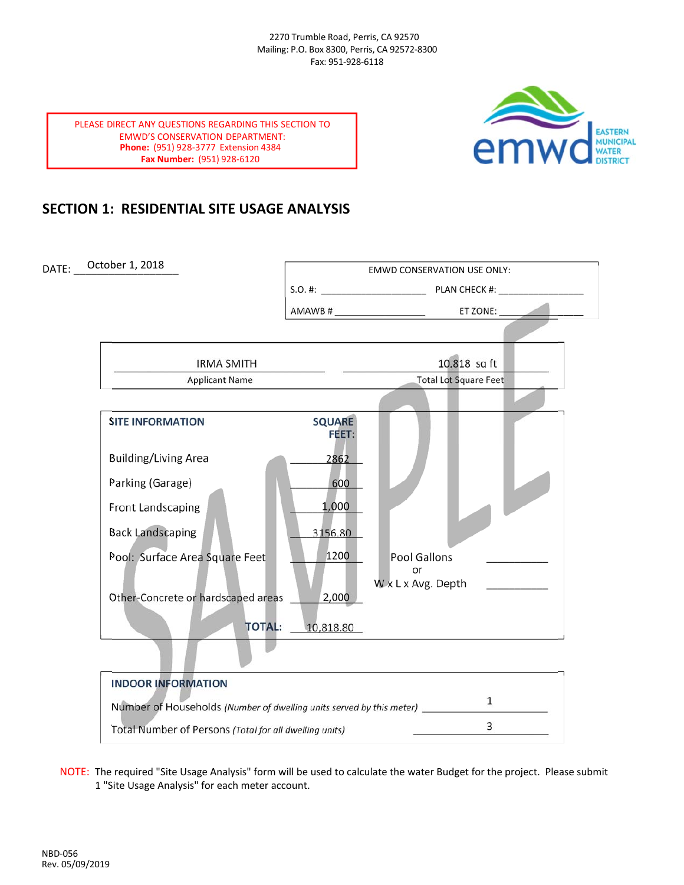

PLEASE DIRECT ANY QUESTIONS REGARDING THIS SECTION TO EMWD'S CONSERVATION DEPARTMENT: **Phone:** (951) 928‐3777 Extension 4384 **Fax Number:** (951) 928‐6120

## **SECTION 1: RESIDENTIAL SITE USAGE ANALYSIS**

DATE: October 1, 2018 **DATE:** October 1, 2018 S.O. #: \_\_\_\_\_\_\_\_\_\_\_\_\_\_\_\_\_\_\_\_\_ PLAN CHECK #: \_\_\_\_\_\_\_\_\_\_\_\_\_\_\_\_\_ AMAWB # FT ZONE: \_\_\_\_\_\_\_\_\_\_\_\_\_\_\_\_\_\_\_\_\_\_\_\_\_\_\_\_\_\_\_\_\_\_\_\_\_\_\_\_\_\_ \_\_\_\_\_\_\_\_\_\_\_\_\_\_\_\_\_\_\_\_\_\_\_\_\_\_\_\_\_\_\_\_\_\_\_\_\_\_\_\_\_ Applicant Name **Base of the Contract Applicant Name Contract Applicant Name SITE INFORMATION SQUARE FEET:** Building/Living Area Parking (Garage) Front Landscaping Back Landscaping Pool: Surface Area Square Feet \_\_\_\_\_\_\_\_\_\_\_\_\_ Pool Gallons \_\_\_\_\_\_\_\_\_\_\_ **or** the contract of the contract of the contract of the contract of the contract of the contract of the contract of W x L x Avg. Depth Other-Concrete or hardscaped areas **TOTAL:** <u>10,818.80</u> **INDOOR INFORMATION** Number of Households *(Number of dwelling units served by this meter)* \_\_\_\_\_\_\_\_\_\_\_\_\_\_\_\_\_\_\_\_\_\_\_\_\_ Total Number of Persons *(Total for all dwelling units)* \_\_\_\_\_\_\_\_\_\_\_\_\_\_\_\_\_\_\_\_\_\_\_\_\_\_\_ October 1, 2018 2862 600 1,000 3156.80 1200 2,000 1 3 IRMA SMITH 10,818 sq ft

NOTE: The required "Site Usage Analysis" form will be used to calculate the water Budget for the project. Please submit 1 "Site Usage Analysis" for each meter account.